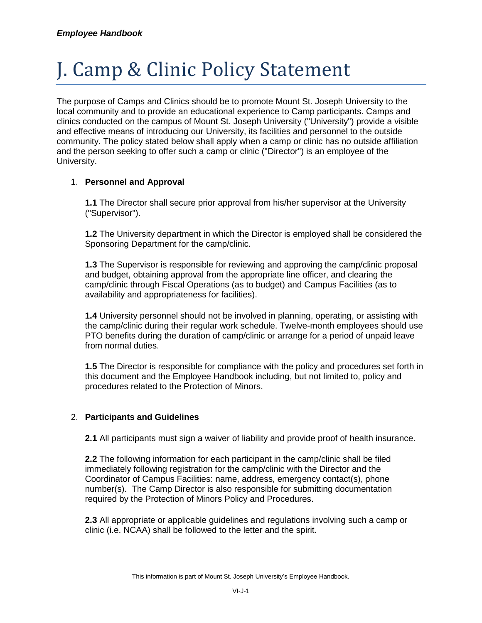## J. Camp & Clinic Policy Statement

The purpose of Camps and Clinics should be to promote Mount St. Joseph University to the local community and to provide an educational experience to Camp participants. Camps and clinics conducted on the campus of Mount St. Joseph University ("University") provide a visible and effective means of introducing our University, its facilities and personnel to the outside community. The policy stated below shall apply when a camp or clinic has no outside affiliation and the person seeking to offer such a camp or clinic ("Director") is an employee of the University.

## 1. **Personnel and Approval**

**1.1** The Director shall secure prior approval from his/her supervisor at the University ("Supervisor").

**1.2** The University department in which the Director is employed shall be considered the Sponsoring Department for the camp/clinic.

**1.3** The Supervisor is responsible for reviewing and approving the camp/clinic proposal and budget, obtaining approval from the appropriate line officer, and clearing the camp/clinic through Fiscal Operations (as to budget) and Campus Facilities (as to availability and appropriateness for facilities).

**1.4** University personnel should not be involved in planning, operating, or assisting with the camp/clinic during their regular work schedule. Twelve-month employees should use PTO benefits during the duration of camp/clinic or arrange for a period of unpaid leave from normal duties.

**1.5** The Director is responsible for compliance with the policy and procedures set forth in this document and the Employee Handbook including, but not limited to, policy and procedures related to the Protection of Minors.

## 2. **Participants and Guidelines**

**2.1** All participants must sign a waiver of liability and provide proof of health insurance.

**2.2** The following information for each participant in the camp/clinic shall be filed immediately following registration for the camp/clinic with the Director and the Coordinator of Campus Facilities: name, address, emergency contact(s), phone number(s). The Camp Director is also responsible for submitting documentation required by the Protection of Minors Policy and Procedures.

**2.3** All appropriate or applicable guidelines and regulations involving such a camp or clinic (i.e. NCAA) shall be followed to the letter and the spirit.